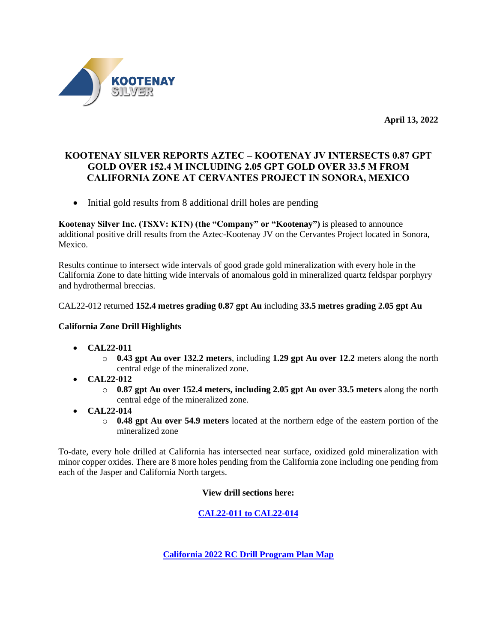

**April 13, 2022**

# **KOOTENAY SILVER REPORTS AZTEC – KOOTENAY JV INTERSECTS 0.87 GPT GOLD OVER 152.4 M INCLUDING 2.05 GPT GOLD OVER 33.5 M FROM CALIFORNIA ZONE AT CERVANTES PROJECT IN SONORA, MEXICO**

• Initial gold results from 8 additional drill holes are pending

**Kootenay Silver Inc. (TSXV: KTN) (the "Company" or "Kootenay")** is pleased to announce additional positive drill results from the Aztec-Kootenay JV on the Cervantes Project located in Sonora, Mexico.

Results continue to intersect wide intervals of good grade gold mineralization with every hole in the California Zone to date hitting wide intervals of anomalous gold in mineralized quartz feldspar porphyry and hydrothermal breccias.

## CAL22-012 returned **152.4 metres grading 0.87 gpt Au** including **33.5 metres grading 2.05 gpt Au**

## **California Zone Drill Highlights**

- **CAL22-011**
	- o **0.43 gpt Au over 132.2 meters**, including **1.29 gpt Au over 12.2** meters along the north central edge of the mineralized zone.
- **CAL22-012**
	- o **0.87 gpt Au over 152.4 meters, including 2.05 gpt Au over 33.5 meters** along the north central edge of the mineralized zone.
- **CAL22-014**
	- o **0.48 gpt Au over 54.9 meters** located at the northern edge of the eastern portion of the mineralized zone

To-date, every hole drilled at California has intersected near surface, oxidized gold mineralization with minor copper oxides. There are 8 more holes pending from the California zone including one pending from each of the Jasper and California North targets.

## **View drill sections here:**

**CAL22-011 [to CAL22-014](https://www.kootenaysilver.com/assets/img/nr/Cervantes-April-12-2022/CAL22_011_to_CAL22_014.pdf)**

**[California 2022 RC Drill Program Plan Map](https://www.kootenaysilver.com/assets/img/nr/Cervantes-April-12-2022/12_APRIL_CERVANTES_DRILL_MAP.jpg)**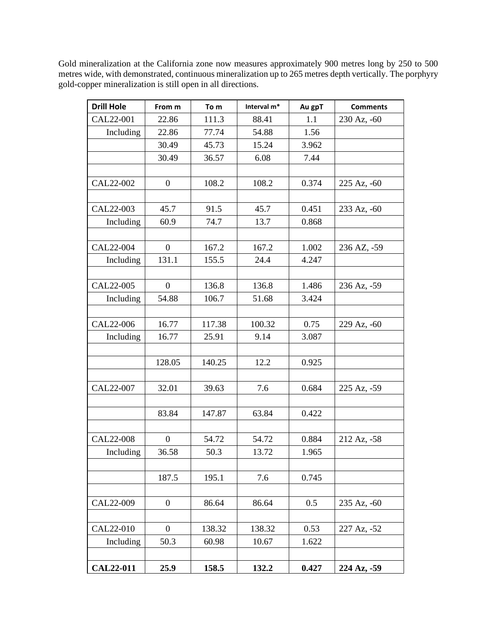Gold mineralization at the California zone now measures approximately 900 metres long by 250 to 500 metres wide, with demonstrated, continuous mineralization up to 265 metres depth vertically. The porphyry gold-copper mineralization is still open in all directions.

| <b>Drill Hole</b> | From m           | To m   | Interval m* | Au gpT | <b>Comments</b>        |
|-------------------|------------------|--------|-------------|--------|------------------------|
| CAL22-001         | 22.86            | 111.3  | 88.41       | 1.1    | 230 Az, -60            |
| Including         | 22.86            | 77.74  | 54.88       | 1.56   |                        |
|                   | 30.49            | 45.73  | 15.24       | 3.962  |                        |
|                   | 30.49            | 36.57  | 6.08        | 7.44   |                        |
|                   |                  |        |             |        |                        |
| CAL22-002         | $\mathbf{0}$     | 108.2  | 108.2       | 0.374  | $225 \text{ Az}$ , -60 |
|                   |                  |        |             |        |                        |
| CAL22-003         | 45.7             | 91.5   | 45.7        | 0.451  | 233 Az, -60            |
| Including         | 60.9             | 74.7   | 13.7        | 0.868  |                        |
|                   |                  |        |             |        |                        |
| CAL22-004         | $\overline{0}$   | 167.2  | 167.2       | 1.002  | 236 AZ, -59            |
| Including         | 131.1            | 155.5  | 24.4        | 4.247  |                        |
|                   |                  |        |             |        |                        |
| CAL22-005         | $\mathbf{0}$     | 136.8  | 136.8       | 1.486  | 236 Az, -59            |
| Including         | 54.88            | 106.7  | 51.68       | 3.424  |                        |
|                   |                  |        |             |        |                        |
| CAL22-006         | 16.77            | 117.38 | 100.32      | 0.75   | 229 Az, -60            |
| Including         | 16.77            | 25.91  | 9.14        | 3.087  |                        |
|                   |                  |        |             |        |                        |
|                   | 128.05           | 140.25 | 12.2        | 0.925  |                        |
|                   |                  |        |             |        |                        |
| CAL22-007         | 32.01            | 39.63  | 7.6         | 0.684  | 225 Az, -59            |
|                   |                  |        |             |        |                        |
|                   | 83.84            | 147.87 | 63.84       | 0.422  |                        |
|                   |                  |        |             |        |                        |
| CAL22-008         | $\mathbf{0}$     | 54.72  | 54.72       | 0.884  | 212 Az, -58            |
| Including         | 36.58            | 50.3   | 13.72       | 1.965  |                        |
|                   |                  |        |             |        |                        |
|                   | 187.5            | 195.1  | 7.6         | 0.745  |                        |
|                   |                  |        |             |        |                        |
| CAL22-009         | $\boldsymbol{0}$ | 86.64  | 86.64       | 0.5    | 235 Az, -60            |
|                   |                  |        |             |        |                        |
| CAL22-010         | $\overline{0}$   | 138.32 | 138.32      | 0.53   | 227 Az, -52            |
| Including         | 50.3             | 60.98  | 10.67       | 1.622  |                        |
|                   |                  |        |             |        |                        |
| <b>CAL22-011</b>  | 25.9             | 158.5  | 132.2       | 0.427  | 224 Az, -59            |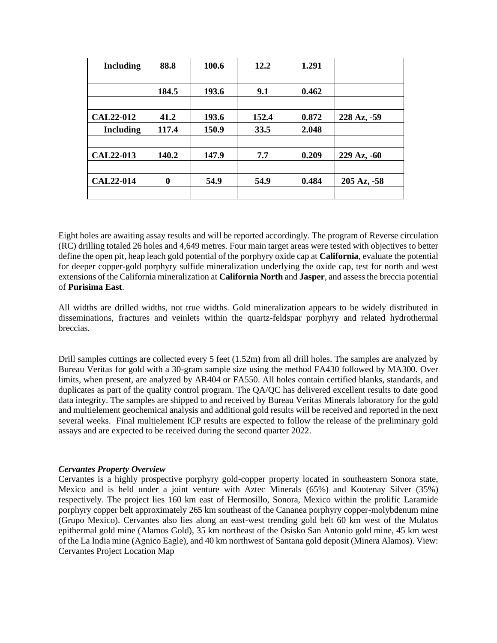| <b>Including</b> | 88.8     | 100.6 | 12.2        | 1.291 |                        |
|------------------|----------|-------|-------------|-------|------------------------|
|                  |          |       |             |       |                        |
|                  | 184.5    | 193.6 | 9.1         | 0.462 |                        |
|                  |          |       |             |       |                        |
| <b>CAL22-012</b> | 41.2     | 193.6 | 152.4       | 0.872 | 228 Az, -59            |
| <b>Including</b> | 117.4    | 150.9 | <b>33.5</b> | 2.048 |                        |
|                  |          |       |             |       |                        |
| <b>CAL22-013</b> | 140.2    | 147.9 | 7.7         | 0.209 | 229 Az, -60            |
|                  |          |       |             |       |                        |
| <b>CAL22-014</b> | $\bf{0}$ | 54.9  | 54.9        | 0.484 | $205 \text{ Az}$ , -58 |
|                  |          |       |             |       |                        |

Eight holes are awaiting assay results and will be reported accordingly. The program of Reverse circulation (RC) drilling totaled 26 holes and 4,649 metres. Four main target areas were tested with objectives to better define the open pit, heap leach gold potential of the porphyry oxide cap at **California**, evaluate the potential for deeper copper-gold porphyry sulfide mineralization underlying the oxide cap, test for north and west extensions of the California mineralization at **California North** and **Jasper**, and assess the breccia potential of **Purisima East**.

All widths are drilled widths, not true widths. Gold mineralization appears to be widely distributed in disseminations, fractures and veinlets within the quartz-feldspar porphyry and related hydrothermal breccias.

Drill samples cuttings are collected every 5 feet (1.52m) from all drill holes. The samples are analyzed by Bureau Veritas for gold with a 30-gram sample size using the method FA430 followed by MA300. Over limits, when present, are analyzed by AR404 or FA550. All holes contain certified blanks, standards, and duplicates as part of the quality control program. The QA/QC has delivered excellent results to date good data integrity. The samples are shipped to and received by Bureau Veritas Minerals laboratory for the gold and multielement geochemical analysis and additional gold results will be received and reported in the next several weeks. Final multielement ICP results are expected to follow the release of the preliminary gold assays and are expected to be received during the second quarter 2022.

#### *Cervantes Property Overview*

Cervantes is a highly prospective porphyry gold-copper property located in southeastern Sonora state, Mexico and is held under a joint venture with Aztec Minerals (65%) and Kootenay Silver (35%) respectively. The project lies 160 km east of Hermosillo, Sonora, Mexico within the prolific Laramide porphyry copper belt approximately 265 km southeast of the Cananea porphyry copper-molybdenum mine (Grupo Mexico). Cervantes also lies along an east-west trending gold belt 60 km west of the Mulatos epithermal gold mine (Alamos Gold), 35 km northeast of the Osisko San Antonio gold mine, 45 km west of the La India mine (Agnico Eagle), and 40 km northwest of Santana gold deposit (Minera Alamos). View: Cervantes Project Location Map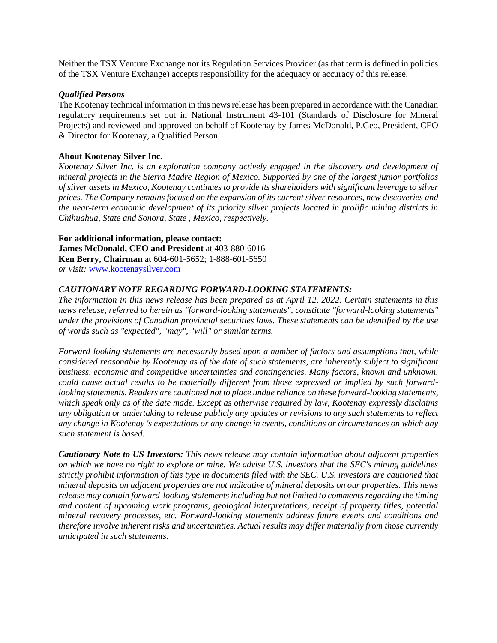Neither the TSX Venture Exchange nor its Regulation Services Provider (as that term is defined in policies of the TSX Venture Exchange) accepts responsibility for the adequacy or accuracy of this release.

#### *Qualified Persons*

The Kootenay technical information in this news release has been prepared in accordance with the Canadian regulatory requirements set out in National Instrument 43-101 (Standards of Disclosure for Mineral Projects) and reviewed and approved on behalf of Kootenay by James McDonald, P.Geo, President, CEO & Director for Kootenay, a Qualified Person.

### **About Kootenay Silver Inc.**

*Kootenay Silver Inc. is an exploration company actively engaged in the discovery and development of mineral projects in the Sierra Madre Region of Mexico. Supported by one of the largest junior portfolios of silver assets in Mexico, Kootenay continues to provide its shareholders with significant leverage to silver prices. The Company remains focused on the expansion of its current silver resources, new discoveries and the near-term economic development of its priority silver projects located in prolific mining districts in Chihuahua, State and Sonora, State , Mexico, respectively.*

#### **For additional information, please contact:**

**James McDonald, CEO and President** at 403-880-6016 **Ken Berry, Chairman** at 604-601-5652; 1-888-601-5650 *or visit:* [www.kootenaysilver.com](http://www.kootenaysilver.com/)

#### *CAUTIONARY NOTE REGARDING FORWARD-LOOKING STATEMENTS:*

*The information in this news release has been prepared as at April 12, 2022. Certain statements in this news release, referred to herein as "forward-looking statements", constitute "forward-looking statements" under the provisions of Canadian provincial securities laws. These statements can be identified by the use of words such as "expected", "may", "will" or similar terms.*

*Forward-looking statements are necessarily based upon a number of factors and assumptions that, while considered reasonable by Kootenay as of the date of such statements, are inherently subject to significant business, economic and competitive uncertainties and contingencies. Many factors, known and unknown, could cause actual results to be materially different from those expressed or implied by such forwardlooking statements. Readers are cautioned not to place undue reliance on these forward-looking statements, which speak only as of the date made. Except as otherwise required by law, Kootenay expressly disclaims any obligation or undertaking to release publicly any updates or revisions to any such statements to reflect any change in Kootenay 's expectations or any change in events, conditions or circumstances on which any such statement is based.*

*Cautionary Note to US Investors: This news release may contain information about adjacent properties on which we have no right to explore or mine. We advise U.S. investors that the SEC's mining guidelines strictly prohibit information of this type in documents filed with the SEC. U.S. investors are cautioned that mineral deposits on adjacent properties are not indicative of mineral deposits on our properties. This news release may contain forward-looking statements including but not limited to comments regarding the timing and content of upcoming work programs, geological interpretations, receipt of property titles, potential mineral recovery processes, etc. Forward-looking statements address future events and conditions and therefore involve inherent risks and uncertainties. Actual results may differ materially from those currently anticipated in such statements.*